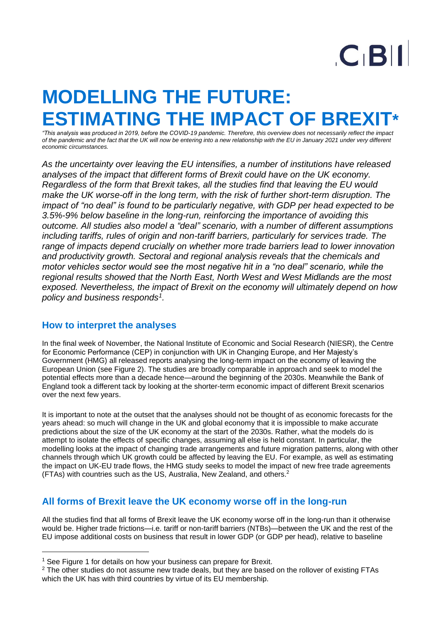# $C$  $B$  $||$

# **MODELLING THE FUTURE: ESTIMATING THE IMPACT OF BREXI**

*"This analysis was produced in 2019, before the COVID-19 pandemic. Therefore, this overview does not necessarily reflect the impact of the pandemic and the fact that the UK will now be entering into a new relationship with the EU in January 2021 under very different economic circumstances.*

*As the uncertainty over leaving the EU intensifies, a number of institutions have released analyses of the impact that different forms of Brexit could have on the UK economy. Regardless of the form that Brexit takes, all the studies find that leaving the EU would make the UK worse-off in the long term, with the risk of further short-term disruption. The impact of "no deal" is found to be particularly negative, with GDP per head expected to be 3.5%-9% below baseline in the long-run, reinforcing the importance of avoiding this outcome. All studies also model a "deal" scenario, with a number of different assumptions including tariffs, rules of origin and non-tariff barriers, particularly for services trade. The range of impacts depend crucially on whether more trade barriers lead to lower innovation and productivity growth. Sectoral and regional analysis reveals that the chemicals and motor vehicles sector would see the most negative hit in a "no deal" scenario, while the regional results showed that the North East, North West and West Midlands are the most exposed. Nevertheless, the impact of Brexit on the economy will ultimately depend on how policy and business responds<sup>1</sup> .*

### **How to interpret the analyses**

In the final week of November, the National Institute of Economic and Social Research (NIESR), the Centre for Economic Performance (CEP) in conjunction with UK in Changing Europe, and Her Majesty's Government (HMG) all released reports analysing the long-term impact on the economy of leaving the European Union (see Figure 2). The studies are broadly comparable in approach and seek to model the potential effects more than a decade hence—around the beginning of the 2030s. Meanwhile the Bank of England took a different tack by looking at the shorter-term economic impact of different Brexit scenarios over the next few years.

It is important to note at the outset that the analyses should not be thought of as economic forecasts for the years ahead: so much will change in the UK and global economy that it is impossible to make accurate predictions about the size of the UK economy at the start of the 2030s. Rather, what the models do is attempt to isolate the effects of specific changes, assuming all else is held constant. In particular, the modelling looks at the impact of changing trade arrangements and future migration patterns, along with other channels through which UK growth could be affected by leaving the EU. For example, as well as estimating the impact on UK-EU trade flows, the HMG study seeks to model the impact of new free trade agreements (FTAs) with countries such as the US, Australia, New Zealand, and others. 2

# **All forms of Brexit leave the UK economy worse off in the long-run**

All the studies find that all forms of Brexit leave the UK economy worse off in the long-run than it otherwise would be. Higher trade frictions—i.e. tariff or non-tariff barriers (NTBs)—between the UK and the rest of the EU impose additional costs on business that result in lower GDP (or GDP per head), relative to baseline

<sup>&</sup>lt;sup>1</sup> See Figure 1 for details on how your business can prepare for Brexit.

 $2$  The other studies do not assume new trade deals, but they are based on the rollover of existing FTAs which the UK has with third countries by virtue of its EU membership.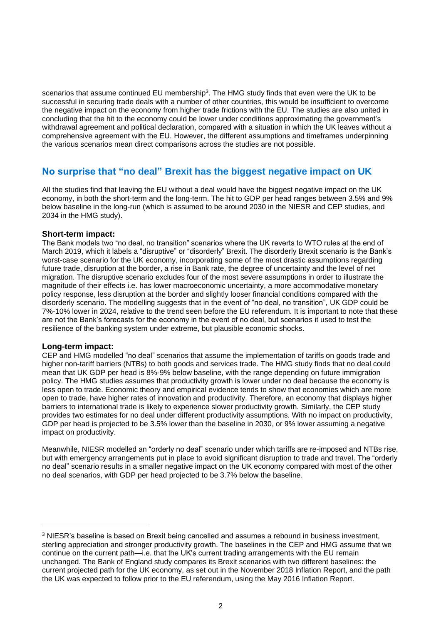scenarios that assume continued EU membership<sup>3</sup>. The HMG study finds that even were the UK to be successful in securing trade deals with a number of other countries, this would be insufficient to overcome the negative impact on the economy from higher trade frictions with the EU. The studies are also united in concluding that the hit to the economy could be lower under conditions approximating the government's withdrawal agreement and political declaration, compared with a situation in which the UK leaves without a comprehensive agreement with the EU. However, the different assumptions and timeframes underpinning the various scenarios mean direct comparisons across the studies are not possible.

# **No surprise that "no deal" Brexit has the biggest negative impact on UK**

All the studies find that leaving the EU without a deal would have the biggest negative impact on the UK economy, in both the short-term and the long-term. The hit to GDP per head ranges between 3.5% and 9% below baseline in the long-run (which is assumed to be around 2030 in the NIESR and CEP studies, and 2034 in the HMG study).

#### **Short-term impact:**

The Bank models two "no deal, no transition" scenarios where the UK reverts to WTO rules at the end of March 2019, which it labels a "disruptive" or "disorderly" Brexit. The disorderly Brexit scenario is the Bank's worst-case scenario for the UK economy, incorporating some of the most drastic assumptions regarding future trade, disruption at the border, a rise in Bank rate, the degree of uncertainty and the level of net migration. The disruptive scenario excludes four of the most severe assumptions in order to illustrate the magnitude of their effects i.e. has lower macroeconomic uncertainty, a more accommodative monetary policy response, less disruption at the border and slightly looser financial conditions compared with the disorderly scenario. The modelling suggests that in the event of "no deal, no transition", UK GDP could be 7%-10% lower in 2024, relative to the trend seen before the EU referendum. It is important to note that these are not the Bank's forecasts for the economy in the event of no deal, but scenarios it used to test the resilience of the banking system under extreme, but plausible economic shocks.

#### **Long-term impact:**

CEP and HMG modelled "no deal" scenarios that assume the implementation of tariffs on goods trade and higher non-tariff barriers (NTBs) to both goods and services trade. The HMG study finds that no deal could mean that UK GDP per head is 8%-9% below baseline, with the range depending on future immigration policy. The HMG studies assumes that productivity growth is lower under no deal because the economy is less open to trade. Economic theory and empirical evidence tends to show that economies which are more open to trade, have higher rates of innovation and productivity. Therefore, an economy that displays higher barriers to international trade is likely to experience slower productivity growth. Similarly, the CEP study provides two estimates for no deal under different productivity assumptions. With no impact on productivity, GDP per head is projected to be 3.5% lower than the baseline in 2030, or 9% lower assuming a negative impact on productivity.

Meanwhile, NIESR modelled an "orderly no deal" scenario under which tariffs are re-imposed and NTBs rise, but with emergency arrangements put in place to avoid significant disruption to trade and travel. The "orderly no deal" scenario results in a smaller negative impact on the UK economy compared with most of the other no deal scenarios, with GDP per head projected to be 3.7% below the baseline.

 $3$  NIESR's baseline is based on Brexit being cancelled and assumes a rebound in business investment, sterling appreciation and stronger productivity growth. The baselines in the CEP and HMG assume that we continue on the current path—i.e. that the UK's current trading arrangements with the EU remain unchanged. The Bank of England study compares its Brexit scenarios with two different baselines: the current projected path for the UK economy, as set out in the November 2018 Inflation Report, and the path the UK was expected to follow prior to the EU referendum, using the May 2016 Inflation Report.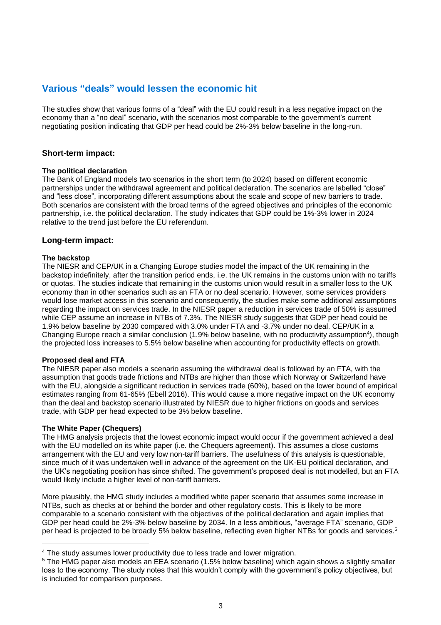# **Various "deals" would lessen the economic hit**

The studies show that various forms of a "deal" with the EU could result in a less negative impact on the economy than a "no deal" scenario, with the scenarios most comparable to the government's current negotiating position indicating that GDP per head could be 2%-3% below baseline in the long-run.

#### **Short-term impact:**

#### **The political declaration**

The Bank of England models two scenarios in the short term (to 2024) based on different economic partnerships under the withdrawal agreement and political declaration. The scenarios are labelled "close" and "less close", incorporating different assumptions about the scale and scope of new barriers to trade. Both scenarios are consistent with the broad terms of the agreed objectives and principles of the economic partnership, i.e. the political declaration. The study indicates that GDP could be 1%-3% lower in 2024 relative to the trend just before the EU referendum.

#### **Long-term impact:**

#### **The backstop**

The NIESR and CEP/UK in a Changing Europe studies model the impact of the UK remaining in the backstop indefinitely, after the transition period ends, i.e. the UK remains in the customs union with no tariffs or quotas. The studies indicate that remaining in the customs union would result in a smaller loss to the UK economy than in other scenarios such as an FTA or no deal scenario. However, some services providers would lose market access in this scenario and consequently, the studies make some additional assumptions regarding the impact on services trade. In the NIESR paper a reduction in services trade of 50% is assumed while CEP assume an increase in NTBs of 7.3%. The NIESR study suggests that GDP per head could be 1.9% below baseline by 2030 compared with 3.0% under FTA and -3.7% under no deal. CEP/UK in a Changing Europe reach a similar conclusion (1.9% below baseline, with no productivity assumption<sup>4</sup>), though the projected loss increases to 5.5% below baseline when accounting for productivity effects on growth.

#### **Proposed deal and FTA**

The NIESR paper also models a scenario assuming the withdrawal deal is followed by an FTA, with the assumption that goods trade frictions and NTBs are higher than those which Norway or Switzerland have with the EU, alongside a significant reduction in services trade (60%), based on the lower bound of empirical estimates ranging from 61-65% (Ebell 2016). This would cause a more negative impact on the UK economy than the deal and backstop scenario illustrated by NIESR due to higher frictions on goods and services trade, with GDP per head expected to be 3% below baseline.

#### **The White Paper (Chequers)**

The HMG analysis projects that the lowest economic impact would occur if the government achieved a deal with the EU modelled on its white paper (i.e. the Chequers agreement). This assumes a close customs arrangement with the EU and very low non-tariff barriers. The usefulness of this analysis is questionable, since much of it was undertaken well in advance of the agreement on the UK-EU political declaration, and the UK's negotiating position has since shifted. The government's proposed deal is not modelled, but an FTA would likely include a higher level of non-tariff barriers.

More plausibly, the HMG study includes a modified white paper scenario that assumes some increase in NTBs, such as checks at or behind the border and other regulatory costs. This is likely to be more comparable to a scenario consistent with the objectives of the political declaration and again implies that GDP per head could be 2%-3% below baseline by 2034. In a less ambitious, "average FTA" scenario, GDP per head is projected to be broadly 5% below baseline, reflecting even higher NTBs for goods and services.<sup>5</sup>

<sup>4</sup> The study assumes lower productivity due to less trade and lower migration.

 $5$  The HMG paper also models an EEA scenario (1.5% below baseline) which again shows a slightly smaller loss to the economy. The study notes that this wouldn't comply with the government's policy objectives, but is included for comparison purposes.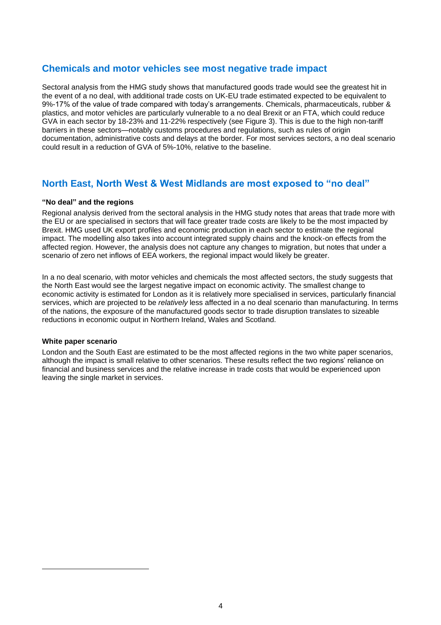# **Chemicals and motor vehicles see most negative trade impact**

Sectoral analysis from the HMG study shows that manufactured goods trade would see the greatest hit in the event of a no deal, with additional trade costs on UK-EU trade estimated expected to be equivalent to 9%-17% of the value of trade compared with today's arrangements. Chemicals, pharmaceuticals, rubber & plastics, and motor vehicles are particularly vulnerable to a no deal Brexit or an FTA, which could reduce GVA in each sector by 18-23% and 11-22% respectively (see Figure 3). This is due to the high non-tariff barriers in these sectors—notably customs procedures and regulations, such as rules of origin documentation, administrative costs and delays at the border. For most services sectors, a no deal scenario could result in a reduction of GVA of 5%-10%, relative to the baseline.

# **North East, North West & West Midlands are most exposed to "no deal"**

#### **"No deal" and the regions**

Regional analysis derived from the sectoral analysis in the HMG study notes that areas that trade more with the EU or are specialised in sectors that will face greater trade costs are likely to be the most impacted by Brexit. HMG used UK export profiles and economic production in each sector to estimate the regional impact. The modelling also takes into account integrated supply chains and the knock-on effects from the affected region. However, the analysis does not capture any changes to migration, but notes that under a scenario of zero net inflows of EEA workers, the regional impact would likely be greater.

In a no deal scenario, with motor vehicles and chemicals the most affected sectors, the study suggests that the North East would see the largest negative impact on economic activity. The smallest change to economic activity is estimated for London as it is relatively more specialised in services, particularly financial services, which are projected to be *relatively* less affected in a no deal scenario than manufacturing. In terms of the nations, the exposure of the manufactured goods sector to trade disruption translates to sizeable reductions in economic output in Northern Ireland, Wales and Scotland.

#### **White paper scenario**

London and the South East are estimated to be the most affected regions in the two white paper scenarios, although the impact is small relative to other scenarios. These results reflect the two regions' reliance on financial and business services and the relative increase in trade costs that would be experienced upon leaving the single market in services.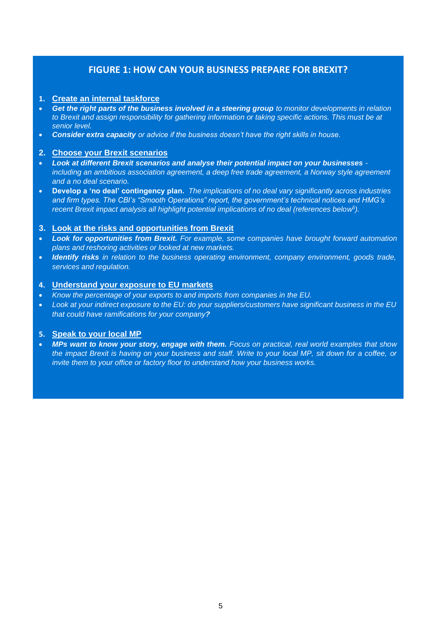# **FIGURE 1: HOW CAN YOUR BUSINESS PREPARE FOR BREXIT?**

#### **1. Create an internal taskforce**

- *Get the right parts of the business involved in a steering group to monitor developments in relation to Brexit and assign responsibility for gathering information or taking specific actions. This must be at senior level.*
- *Consider extra capacity or advice if the business doesn't have the right skills in house.*

#### **2. Choose your Brexit scenarios**

- *Look at different Brexit scenarios and analyse their potential impact on your businesses including an ambitious association agreement, a deep free trade agreement, a Norway style agreement and a no deal scenario.*
- **Develop a 'no deal' contingency plan.** *The implications of no deal vary significantly across industries and firm types. The CBI's "Smooth Operations" report, the government's technical notices and HMG's recent Brexit impact analysis all highlight potential implications of no deal (references below<sup>5</sup> ).*

#### **3. Look at the risks and opportunities from Brexit**

- *Look for opportunities from Brexit. For example, some companies have brought forward automation plans and reshoring activities or looked at new markets.*
- *Identify risks in relation to the business operating environment, company environment, goods trade, services and regulation.*

#### **4. Understand your exposure to EU markets**

- *Know the percentage of your exports to and imports from companies in the EU.*
- *Look at your indirect exposure to the EU: do your suppliers/customers have significant business in the EU that could have ramifications for your company?*

#### **5. Speak to your local MP**

• *MPs want to know your story, engage with them. Focus on practical, real world examples that show the impact Brexit is having on your business and staff. Write to your local MP, sit down for a coffee, or invite them to your office or factory floor to understand how your business works.*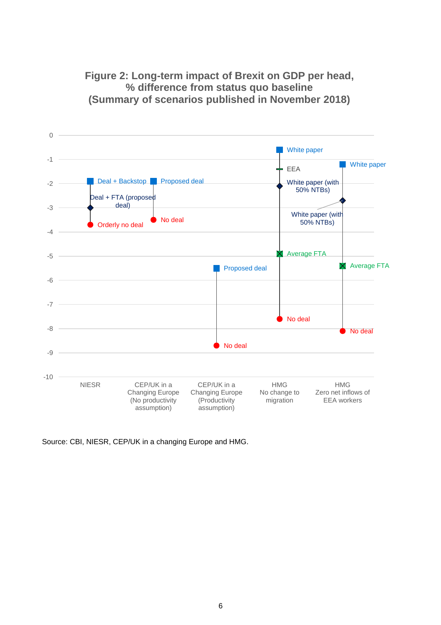**Figure 2: Long-term impact of Brexit on GDP per head, % difference from status quo baseline (Summary of scenarios published in November 2018)**



Source: CBI, NIESR, CEP/UK in a changing Europe and HMG.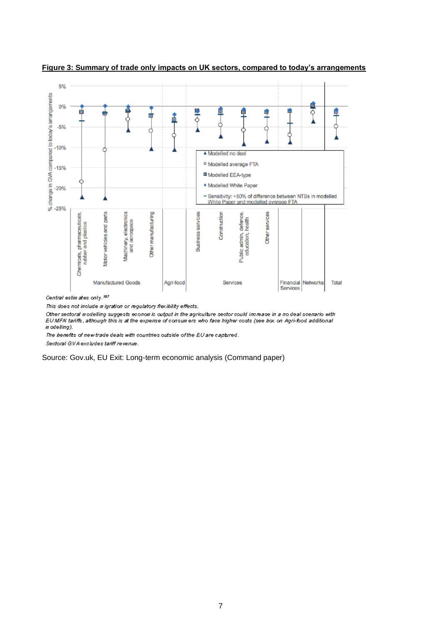

**Figure 3: Summary of trade only impacts on UK sectors, compared to today's arrangements**

Central estimates only.<sup>187</sup>

This does not include migration or regulatory flexibility effects.

Other sectoral modelling suggests economic output in the agriculture sector could increase in a no deal scenario with EU MFN tariffs, although this is at the expense of consumers who face higher costs (see box on Agri-food additional m odelling).

The benefits of new trade deals with countries outside of the EU are captured.

Sectoral GVA excludes tariff revenue.

Source: Gov.uk, EU Exit: Long-term economic analysis (Command paper)